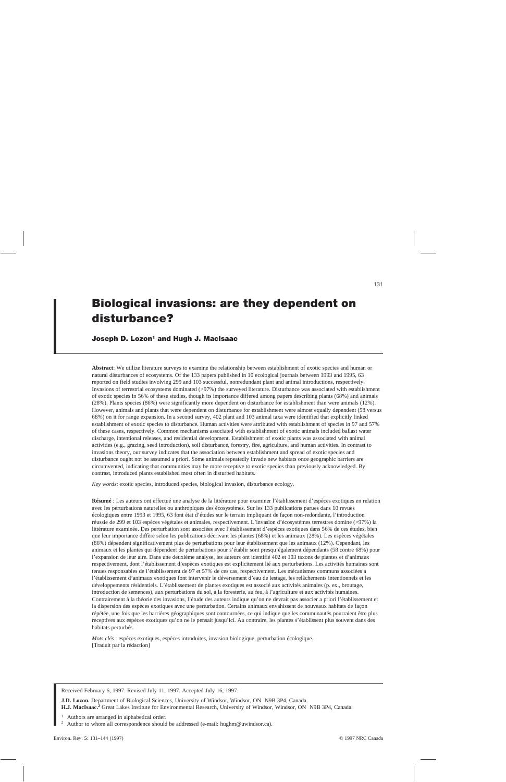# **Biological invasions: are they dependent on disturbance?**

# **Joseph D. Lozon1 and Hugh J. MacIsaac**

**Abstract**: We utilize literature surveys to examine the relationship between establishment of exotic species and human or natural disturbances of ecosystems. Of the 133 papers published in 10 ecological journals between 1993 and 1995, 63 reported on field studies involving 299 and 103 successful, nonredundant plant and animal introductions, respectively. Invasions of terrestrial ecosystems dominated (>97%) the surveyed literature. Disturbance was associated with establishment of exotic species in 56% of these studies, though its importance differed among papers describing plants (68%) and animals (28%). Plants species (86%) were significantly more dependent on disturbance for establishment than were animals (12%). However, animals and plants that were dependent on disturbance for establishment were almost equally dependent (58 versus 68%) on it for range expansion. In a second survey, 402 plant and 103 animal taxa were identified that explicitly linked establishment of exotic species to disturbance. Human activities were attributed with establishment of species in 97 and 57% of these cases, respectively. Common mechanisms associated with establishment of exotic animals included ballast water discharge, intentional releases, and residential development. Establishment of exotic plants was associated with animal activities (e.g., grazing, seed introduction), soil disturbance, forestry, fire, agriculture, and human activities. In contrast to invasions theory, our survey indicates that the association between establishment and spread of exotic species and disturbance ought not be assumed a priori. Some animals repeatedly invade new habitats once geographic barriers are circumvented, indicating that communities may be more receptive to exotic species than previously acknowledged. By contrast, introduced plants established most often in disturbed habitats.

*Key words*: exotic species, introduced species, biological invasion, disturbance ecology.

**Résumé** : Les auteurs ont effectué une analyse de la littérature pour examiner l'établissement d'espèces exotiques en relation avec les perturbations naturelles ou anthropiques des écosystèmes. Sur les 133 publications parues dans 10 revues écologiques entre 1993 et 1995, 63 font état d'études sur le terrain impliquant de façon non-redondante, l'introduction réussie de 299 et 103 espèces végétales et animales, respectivement. L'invasion d'écosystèmes terrestres domine (>97%) la littérature examinée. Des perturbation sont associées avec l'établissement d'espèces exotiques dans 56% de ces études, bien que leur importance diffère selon les publications décrivant les plantes (68%) et les animaux (28%). Les espèces végétales (86%) dépendent significativement plus de perturbations pour leur établissement que les animaux (12%). Cependant, les animaux et les plantes qui dépendent de perturbations pour s'établir sont presqu'également dépendants (58 contre 68%) pour l'expansion de leur aire. Dans une deuxième analyse, les auteurs ont identifié 402 et 103 taxons de plantes et d'animaux respectivement, dont l'établissement d'espèces exotiques est explicitement lié aux perturbations. Les activités humaines sont tenues responsables de l'établissement de 97 et 57% de ces cas, respectivement. Les mécanismes communs associées à l'établissement d'animaux exotiques font intervenir le déversement d'eau de lestage, les relâchements intentionnels et les développements résidentiels. L'établissement de plantes exotiques est associé aux activités animales (p. ex., broutage, introduction de semences), aux perturbations du sol, à la foresterie, au feu, à l'agriculture et aux activités humaines. Contrairement à la théorie des invasions, l'étude des auteurs indique qu'on ne devrait pas associer a priori l'établissement et la dispersion des espèces exotiques avec une perturbation. Certains animaux envahissent de nouveaux habitats de façon répétée, une fois que les barrières géographiques sont contournées, ce qui indique que les communautés pourraient être plus receptives aux espèces exotiques qu'on ne le pensait jusqu'ici. Au contraire, les plantes s'établissent plus souvent dans des habitats perturbés.

*Mots clés* : espèces exotiques, espèces introduites, invasion biologique, perturbation écologique. [Traduit par la rédaction]

Received February 6, 1997. Revised July 11, 1997. Accepted July 16, 1997.

**J.D. Lozon.** Department of Biological Sciences, University of Windsor, Windsor, ON N9B 3P4, Canada. **H.J. MacIsaac.2** Great Lakes Institute for Environmental Research, University of Windsor, Windsor, ON N9B 3P4, Canada.

<sup>1</sup> Authors are arranged in alphabetical order.<br><sup>2</sup> Author to whom all correspondence should

Author to whom all correspondence should be addressed (e-mail: hughm@uwindsor.ca).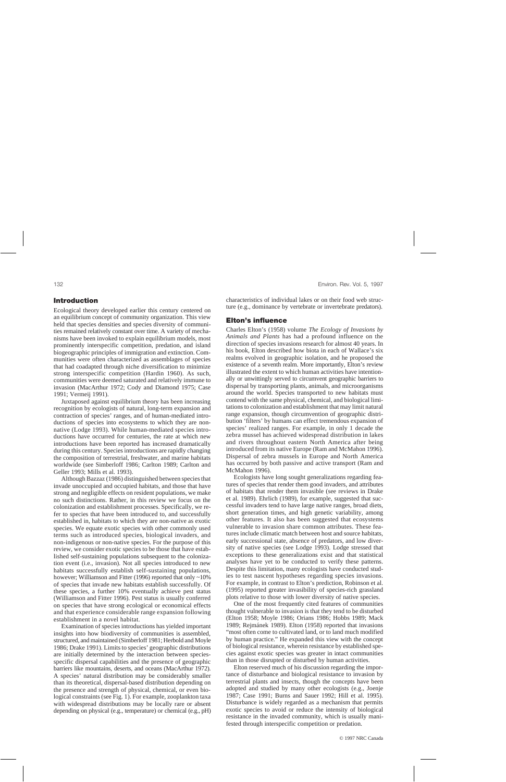# **Introduction**

Ecological theory developed earlier this century centered on an equilibrium concept of community organization. This view held that species densities and species diversity of communities remained relatively constant over time. A variety of mechanisms have been invoked to explain equilibrium models, most prominently interspecific competition, predation, and island biogeographic principles of immigration and extinction. Communities were often characterized as assemblages of species that had coadapted through niche diversification to minimize strong interspecific competition (Hardin 1960). As such, communities were deemed saturated and relatively immune to invasion (MacArthur 1972; Cody and Diamond 1975; Case 1991; Vermeij 1991).

Juxtaposed against equilibrium theory has been increasing recognition by ecologists of natural, long-term expansion and contraction of species' ranges, and of human-mediated introductions of species into ecosystems to which they are nonnative (Lodge 1993). While human-mediated species introductions have occurred for centuries, the rate at which new introductions have been reported has increased dramatically during this century. Species introductions are rapidly changing the composition of terrestrial, freshwater, and marine habitats worldwide (see Simberloff 1986; Carlton 1989; Carlton and Geller 1993; Mills et al. 1993).

Although Bazzaz (1986) distinguished between species that invade unoccupied and occupied habitats, and those that have strong and negligible effects on resident populations, we make no such distinctions. Rather, in this review we focus on the colonization and establishment processes. Specifically, we refer to species that have been introduced to, and successfully established in, habitats to which they are non-native as exotic species. We equate exotic species with other commonly used terms such as introduced species, biological invaders, and non-indigenous or non-native species. For the purpose of this review, we consider exotic species to be those that have established self-sustaining populations subsequent to the colonization event (i.e., invasion). Not all species introduced to new habitats successfully establish self-sustaining populations, however; Williamson and Fitter (1996) reported that only ~10% of species that invade new habitats establish successfully. Of these species, a further 10% eventually achieve pest status (Williamson and Fitter 1996). Pest status is usually conferred on species that have strong ecological or economical effects and that experience considerable range expansion following establishment in a novel habitat.

Examination of species introductions has yielded important insights into how biodiversity of communities is assembled, structured, and maintained (Simberloff 1981; Herbold and Moyle 1986; Drake 1991). Limits to species' geographic distributions are initially determined by the interaction between speciesspecific dispersal capabilities and the presence of geographic barriers like mountains, deserts, and oceans (MacArthur 1972). A species' natural distribution may be considerably smaller than its theoretical, dispersal-based distribution depending on the presence and strength of physical, chemical, or even biological constraints (see Fig. 1). For example, zooplankton taxa with widespread distributions may be locally rare or absent depending on physical (e.g., temperature) or chemical (e.g., pH)

characteristics of individual lakes or on their food web structure (e.g., dominance by vertebrate or invertebrate predators).

## **Elton's influence**

Charles Elton's (1958) volume *The Ecology of Invasions by Animals and Plants* has had a profound influence on the direction of species invasions research for almost 40 years. In his book, Elton described how biota in each of Wallace's six realms evolved in geographic isolation, and he proposed the existence of a seventh realm. More importantly, Elton's review illustrated the extent to which human activities have intentionally or unwittingly served to circumvent geographic barriers to dispersal by transporting plants, animals, and microorganisms around the world. Species transported to new habitats must contend with the same physical, chemical, and biological limitations to colonization and establishment that may limit natural range expansion, though circumvention of geographic distribution 'filters' by humans can effect tremendous expansion of species' realized ranges. For example, in only 1 decade the zebra mussel has achieved widespread distribution in lakes and rivers throughout eastern North America after being introduced from its native Europe (Ram and McMahon 1996). Dispersal of zebra mussels in Europe and North America has occurred by both passive and active transport (Ram and McMahon 1996).

Ecologists have long sought generalizations regarding features of species that render them good invaders, and attributes of habitats that render them invasible (see reviews in Drake et al. 1989). Ehrlich (1989), for example, suggested that successful invaders tend to have large native ranges, broad diets, short generation times, and high genetic variability, among other features. It also has been suggested that ecosystems vulnerable to invasion share common attributes. These features include climatic match between host and source habitats, early successional state, absence of predators, and low diversity of native species (see Lodge 1993). Lodge stressed that exceptions to these generalizations exist and that statistical analyses have yet to be conducted to verify these patterns. Despite this limitation, many ecologists have conducted studies to test nascent hypotheses regarding species invasions. For example, in contrast to Elton's prediction, Robinson et al. (1995) reported greater invasibility of species-rich grassland plots relative to those with lower diversity of native species.

One of the most frequently cited features of communities thought vulnerable to invasion is that they tend to be disturbed (Elton 1958; Moyle 1986; Orians 1986; Hobbs 1989; Mack 1989; Rejmánek 1989). Elton (1958) reported that invasions "most often come to cultivated land, or to land much modified by human practice." He expanded this view with the concept of biological resistance, wherein resistance by established species against exotic species was greater in intact communities than in those disrupted or disturbed by human activities.

Elton reserved much of his discussion regarding the importance of disturbance and biological resistance to invasion by terrestrial plants and insects, though the concepts have been adopted and studied by many other ecologists (e.g., Joenje 1987; Case 1991; Burns and Sauer 1992; Hill et al. 1995). Disturbance is widely regarded as a mechanism that permits exotic species to avoid or reduce the intensity of biological resistance in the invaded community, which is usually manifested through interspecific competition or predation.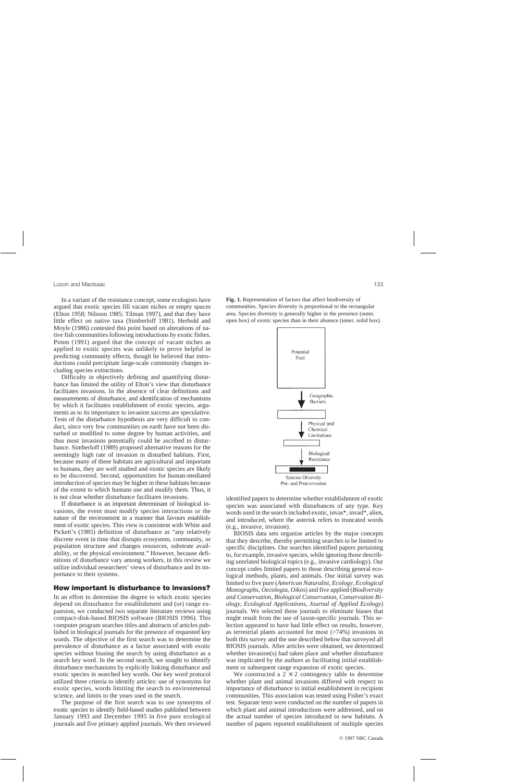In a variant of the resistance concept, some ecologists have argued that exotic species fill vacant niches or empty spaces (Elton 1958; Nilsson 1985; Tilman 1997), and that they have little effect on native taxa (Simberloff 1981). Herbold and Moyle (1986) contested this point based on alterations of native fish communities following introductions by exotic fishes. Pimm (1991) argued that the concept of vacant niches as applied to exotic species was unlikely to prove helpful in predicting community effects, though he believed that introductions could precipitate large-scale community changes including species extinctions.

Difficulty in objectively defining and quantifying disturbance has limited the utility of Elton's view that disturbance facilitates invasions. In the absence of clear definitions and measurements of disturbance, and identification of mechanisms by which it facilitates establishment of exotic species, arguments as to its importance to invasion success are speculative. Tests of the disturbance hypothesis are very difficult to conduct, since very few communities on earth have not been disturbed or modified to some degree by human activities, and thus most invasions potentially could be ascribed to disturbance. Simberloff (1989) proposed alternative reasons for the seemingly high rate of invasion in disturbed habitats. First, because many of these habitats are agricultural and important to humans, they are well studied and exotic species are likely to be discovered. Second, opportunities for human-mediated introduction of species may be higher in these habitats because of the extent to which humans use and modify them. Thus, it is not clear whether disturbance facilitates invasions.

If disturbance is an important determinant of biological invasions, the event must modify species interactions or the nature of the environment in a manner that favours establishment of exotic species. This view is consistent with White and Pickett's (1985) definition of disturbance as "any relatively discrete event in time that disrupts ecosystem, community, or population structure and changes resources, substrate availability, or the physical environment." However, because definitions of disturbance vary among workers, in this review we utilize individual researchers' views of disturbance and its importance to their systems.

# **How important is disturbance to invasions?**

In an effort to determine the degree to which exotic species depend on disturbance for establishment and (or) range expansion, we conducted two separate literature reviews using compact-disk-based BIOSIS software (BIOSIS 1996). This computer program searches titles and abstracts of articles published in biological journals for the presence of requested key words. The objective of the first search was to determine the prevalence of disturbance as a factor associated with exotic species without biasing the search by using disturbance as a search key word. In the second search, we sought to identify disturbance mechanisms by explicitly linking disturbance and exotic species in searched key words. Our key word protocol utilized three criteria to identify articles: use of synonyms for exotic species, words limiting the search to environmental science, and limits to the years used in the search.

The purpose of the first search was to use synonyms of exotic species to identify field-based studies published between January 1993 and December 1995 in five pure ecological journals and five primary applied journals. We then reviewed

**Fig. 1.** Representation of factors that affect biodiversity of communities. Species diversity is proportional to the rectangular area. Species diversity is generally higher in the presence (outer, open box) of exotic species than in their absence (inner, solid box).



identified papers to determine whether establishment of exotic species was associated with disturbances of any type. Key words used in the search included exotic, invas\*, invad\*, alien, and introduced, where the asterisk refers to truncated words (e.g., invasive, invasion).

BIOSIS data sets organize articles by the major concepts that they describe, thereby permitting searches to be limited to specific disciplines. Our searches identified papers pertaining to, for example, invasive species, while ignoring those describing unrelated biological topics (e.g., invasive cardiology). Our concept codes limited papers to those describing general ecological methods, plants, and animals. Our initial survey was limited to five pure (*American Naturalist*, *Ecology*, *Ecological Monographs*, *Oecologia*, *Oikos*) and five applied (*Biodiversity and Conservation*, *Biological Conservation*, *Conservation Biology*, *Ecological Applications*, *Journal of Applied Ecology*) journals. We selected these journals to eliminate biases that might result from the use of taxon-specific journals. This selection appeared to have had little effect on results, however, as terrestrial plants accounted for most  $($ >74%) invasions in both this survey and the one described below that surveyed all BIOSIS journals. After articles were obtained, we determined whether invasion(s) had taken place and whether disturbance was implicated by the authors as facilitating initial establishment or subsequent range expansion of exotic species.

We constructed a  $2 \times 2$  contingency table to determine whether plant and animal invasions differed with respect to importance of disturbance to initial establishment in recipient communities. This association was tested using Fisher's exact test. Separate tests were conducted on the number of papers in which plant and animal introductions were addressed, and on the actual number of species introduced to new habitats. A number of papers reported establishment of multiple species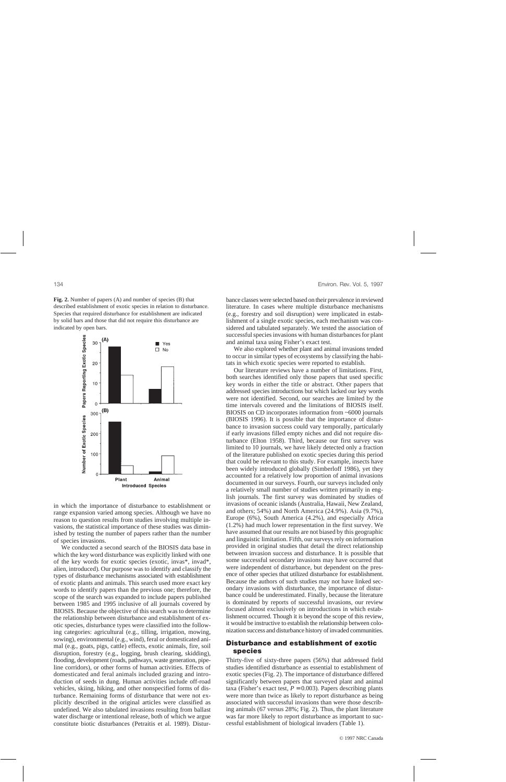**Fig. 2.** Number of papers (A) and number of species (B) that described establishment of exotic species in relation to disturbance. Species that required disturbance for establishment are indicated by solid bars and those that did not require this disturbance are indicated by open bars.



in which the importance of disturbance to establishment or range expansion varied among species. Although we have no reason to question results from studies involving multiple invasions, the statistical importance of these studies was diminished by testing the number of papers rather than the number of species invasions.

We conducted a second search of the BIOSIS data base in which the key word disturbance was explicitly linked with one of the key words for exotic species (exotic, invas\*, invad\*, alien, introduced). Our purpose was to identify and classify the types of disturbance mechanisms associated with establishment of exotic plants and animals. This search used more exact key words to identify papers than the previous one; therefore, the scope of the search was expanded to include papers published between 1985 and 1995 inclusive of all journals covered by BIOSIS. Because the objective of this search was to determine the relationship between disturbance and establishment of exotic species, disturbance types were classified into the following categories: agricultural (e.g., tilling, irrigation, mowing, sowing), environmental (e.g., wind), feral or domesticated animal (e.g., goats, pigs, cattle) effects, exotic animals, fire, soil disruption, forestry (e.g., logging, brush clearing, skidding), flooding, development (roads, pathways, waste generation, pipeline corridors), or other forms of human activities. Effects of domesticated and feral animals included grazing and introduction of seeds in dung. Human activities include off-road vehicles, skiing, hiking, and other nonspecified forms of disturbance. Remaining forms of disturbance that were not explicitly described in the original articles were classified as undefined. We also tabulated invasions resulting from ballast water discharge or intentional release, both of which we argue constitute biotic disturbances (Petraitis et al. 1989). Disturbance classes were selected based on their prevalence in reviewed literature. In cases where multiple disturbance mechanisms (e.g., forestry and soil disruption) were implicated in establishment of a single exotic species, each mechanism was considered and tabulated separately. We tested the association of successful species invasions with human disturbances for plant and animal taxa using Fisher's exact test.

We also explored whether plant and animal invasions tended to occur in similar types of ecosystems by classifying the habitats in which exotic species were reported to establish.

Our literature reviews have a number of limitations. First, both searches identified only those papers that used specific key words in either the title or abstract. Other papers that addressed species introductions but which lacked our key words were not identified. Second, our searches are limited by the time intervals covered and the limitations of BIOSIS itself. BIOSIS on CD incorporates information from ~6000 journals (BIOSIS 1996). It is possible that the importance of disturbance to invasion success could vary temporally, particularly if early invasions filled empty niches and did not require disturbance (Elton 1958). Third, because our first survey was limited to 10 journals, we have likely detected only a fraction of the literature published on exotic species during this period that could be relevant to this study. For example, insects have been widely introduced globally (Simberloff 1986), yet they accounted for a relatively low proportion of animal invasions documented in our surveys. Fourth, our surveys included only a relatively small number of studies written primarily in english journals. The first survey was dominated by studies of invasions of oceanic islands (Australia, Hawaii, New Zealand, and others; 54%) and North America (24.9%). Asia (9.7%), Europe (6%), South America (4.2%), and especially Africa (1.2%) had much lower representation in the first survey. We have assumed that our results are not biased by this geographic and linguistic limitation. Fifth, our surveys rely on information provided in original studies that detail the direct relationship between invasion success and disturbance. It is possible that some successful secondary invasions may have occurred that were independent of disturbance, but dependent on the presence of other species that utilized disturbance for establishment. Because the authors of such studies may not have linked secondary invasions with disturbance, the importance of disturbance could be underestimated. Finally, because the literature is dominated by reports of successful invasions, our review focused almost exclusively on introductions in which establishment occurred. Though it is beyond the scope of this review, it would be instructive to establish the relationship between colonization success and disturbance history of invaded communities.

## **Disturbance and establishment of exotic species**

Thirty-five of sixty-three papers (56%) that addressed field studies identified disturbance as essential to establishment of exotic species (Fig. 2). The importance of disturbance differed significantly between papers that surveyed plant and animal taxa (Fisher's exact test,  $P = 0.003$ ). Papers describing plants were more than twice as likely to report disturbance as being associated with successful invasions than were those describing animals (67 versus 28%; Fig. 2). Thus, the plant literature was far more likely to report disturbance as important to successful establishment of biological invaders (Table 1).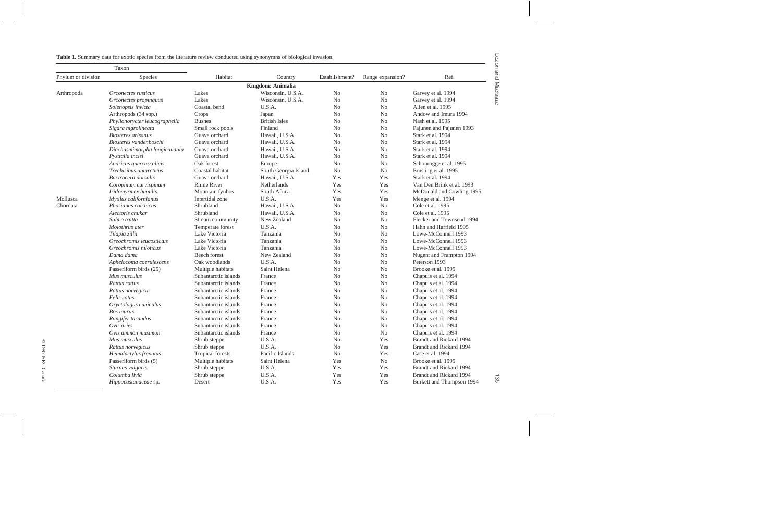**Table 1.** Summary data for exotic species from the literature review conducted using synonymns of biological invasion.

[© 1997 NRC Canada](http://www.nrc.ca/cisti/journals/er/er5/erco97.pdf)

@ 1997 NRC Canada

|                    | Taxon                         |                      |                      |                |                  |                           |
|--------------------|-------------------------------|----------------------|----------------------|----------------|------------------|---------------------------|
| Phylum or division | Species                       | Habitat              | Country              | Establishment? | Range expansion? | Ref.                      |
|                    |                               |                      | Kingdom: Animalia    |                |                  |                           |
| Arthropoda         | Orconectes rusticus           | Lakes                | Wisconsin, U.S.A.    | N <sub>o</sub> | N <sub>0</sub>   | Garvey et al. 1994        |
|                    | Orconectes propinquus         | Lakes                | Wisconsin, U.S.A.    | No             | N <sub>o</sub>   | Garvey et al. 1994        |
|                    | Solenopsis invicta            | Coastal bend         | U.S.A.               | N <sub>o</sub> | N <sub>o</sub>   | Allen et al. 1995         |
|                    | Arthropods (34 spp.)          | Crops                | Japan                | N <sub>0</sub> | No               | Andow and Imura 1994      |
|                    | Phyllonorycter leucographella | <b>Bushes</b>        | <b>British Isles</b> | N <sub>o</sub> | N <sub>o</sub>   | Nash et al. 1995          |
|                    | Sigara nigrolineata           | Small rock pools     | Finland              | N <sub>0</sub> | N <sub>o</sub>   | Pajunen and Pajunen 1993  |
|                    | <b>Biosteres</b> arisanus     | Guava orchard        | Hawaii, U.S.A.       | No             | No               | Stark et al. 1994         |
|                    | Biosteres vandenboschi        | Guava orchard        | Hawaii, U.S.A.       | No             | N <sub>0</sub>   | Stark et al. 1994         |
|                    | Diachasmimorpha longicaudata  | Guava orchard        | Hawaii, U.S.A.       | N <sub>o</sub> | N <sub>0</sub>   | Stark et al. 1994         |
|                    | Pysttalia incisi              | Guava orchard        | Hawaii, U.S.A.       | N <sub>o</sub> | N <sub>0</sub>   | Stark et al. 1994         |
|                    | Andricus quercuscalicis       | Oak forest           | Europe               | N <sub>0</sub> | N <sub>o</sub>   | Schonrögge et al. 1995    |
|                    | Trechisibus antarcticus       | Coastal habitat      | South Georgia Island | N <sub>0</sub> | N <sub>o</sub>   | Ernsting et al. 1995      |
|                    | Bactrocera dorsalis           | Guava orchard        | Hawaii, U.S.A.       | Yes            | Yes              | Stark et al. 1994         |
|                    | Corophium curvispinum         | <b>Rhine River</b>   | Netherlands          | Yes            | Yes              | Van Den Brink et al. 1993 |
|                    | Iridomyrmex humilis           | Mountain fynbos      | South Africa         | Yes            | Yes              | McDonald and Cowling 1995 |
| Mollusca           | Mytilus californianus         | Intertidal zone      | U.S.A.               | Yes            | Yes              | Menge et al. 1994         |
| Chordata           | Phasianus colchicus           | Shrubland            | Hawaii, U.S.A.       | No             | N <sub>o</sub>   | Cole et al. 1995          |
|                    | Alectoris chukar              | Shrubland            | Hawaii, U.S.A.       | N <sub>0</sub> | N <sub>o</sub>   | Cole et al. 1995          |
|                    | Salmo trutta                  | Stream community     | New Zealand          | N <sub>o</sub> | N <sub>o</sub>   | Flecker and Townsend 1994 |
|                    | Molothrus ater                | Temperate forest     | U.S.A.               | N <sub>0</sub> | N <sub>o</sub>   | Hahn and Haffield 1995    |
|                    | Tilapia zillii                | Lake Victoria        | Tanzania             | N <sub>0</sub> | N <sub>o</sub>   | Lowe-McConnell 1993       |
|                    | Oreochromis leucostictus      | Lake Victoria        | Tanzania             | N <sub>0</sub> | No               | Lowe-McConnell 1993       |
|                    | Oreochromis niloticus         | Lake Victoria        | Tanzania             | No             | N <sub>o</sub>   | Lowe-McConnell 1993       |
|                    | Dama dama                     | Beech forest         | New Zealand          | N <sub>0</sub> | N <sub>0</sub>   | Nugent and Frampton 1994  |
|                    | Aphelocoma coerulescens       | Oak woodlands        | U.S.A.               | N <sub>o</sub> | N <sub>o</sub>   | Peterson 1993             |
|                    | Passeriform birds (25)        | Multiple habitats    | Saint Helena         | N <sub>o</sub> | N <sub>o</sub>   | Brooke et al. 1995        |
|                    | Mus musculus                  | Subantarctic islands | France               | N <sub>0</sub> | No               | Chapuis et al. 1994       |
|                    | Rattus rattus                 | Subantarctic islands | France               | N <sub>o</sub> | N <sub>o</sub>   | Chapuis et al. 1994       |
|                    | Rattus norvegicus             | Subantarctic islands | France               | No             | N <sub>o</sub>   | Chapuis et al. 1994       |
|                    | Felis catus                   | Subantarctic islands | France               | N <sub>0</sub> | N <sub>o</sub>   | Chapuis et al. 1994       |
|                    | Oryctolagus cuniculus         | Subantarctic islands | France               | N <sub>0</sub> | N <sub>o</sub>   | Chapuis et al. 1994       |
|                    | <b>Bos</b> taurus             | Subantarctic islands | France               | N <sub>0</sub> | No               | Chapuis et al. 1994       |
|                    | Rangifer tarandus             | Subantarctic islands | France               | N <sub>o</sub> | No               | Chapuis et al. 1994       |
|                    | Ovis aries                    | Subantarctic islands | France               | N <sub>0</sub> | N <sub>o</sub>   | Chapuis et al. 1994       |
|                    | Ovis ammon musimon            | Subantarctic islands | France               | N <sub>o</sub> | N <sub>o</sub>   | Chapuis et al. 1994       |
|                    | Mus musculus                  | Shrub steppe         | U.S.A.               | N <sub>o</sub> | Yes              | Brandt and Rickard 1994   |
|                    | Rattus norvegicus             | Shrub steppe         | U.S.A.               | N <sub>o</sub> | Yes              | Brandt and Rickard 1994   |
|                    | Hemidactylus frenatus         | Tropical forests     | Pacific Islands      | N <sub>0</sub> | Yes              | Case et al. 1994          |
|                    | Passeriform birds (5)         | Multiple habitats    | Saint Helena         | Yes            | N <sub>o</sub>   | Brooke et al. 1995        |
|                    | Sturnus vulgaris              | Shrub steppe         | U.S.A.               | Yes            | Yes              | Brandt and Rickard 1994   |
|                    | Columba livia                 | Shrub steppe         | U.S.A.               | Yes            | Yes              | Brandt and Rickard 1994   |
|                    | <i>Hippocastanaceae</i> sp.   | Desert               | U.S.A.               | Yes            | Yes              | Burkett and Thompson 1994 |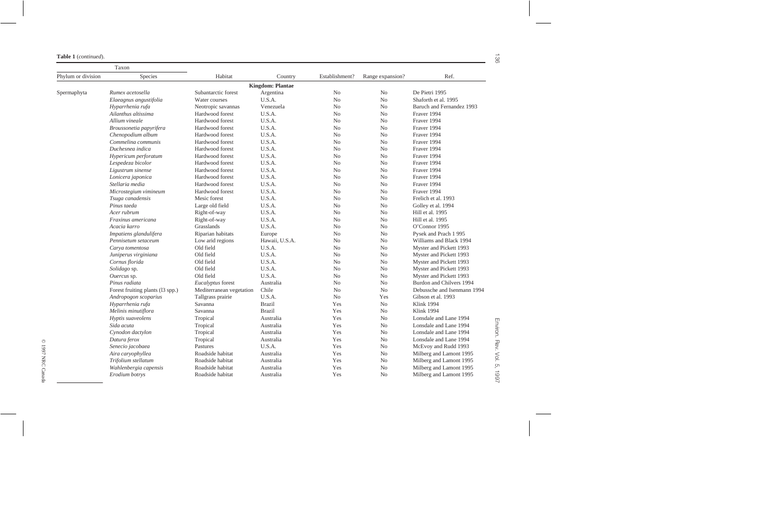| <b>Table 1</b> (continued). |  |
|-----------------------------|--|
|-----------------------------|--|

|                    | Taxon                            |                          |                         |                |                  |                             |
|--------------------|----------------------------------|--------------------------|-------------------------|----------------|------------------|-----------------------------|
| Phylum or division | Species                          | Habitat                  | Country                 | Establishment? | Range expansion? | Ref.                        |
|                    |                                  |                          | <b>Kingdom: Plantae</b> |                |                  |                             |
| Spermaphyta        | Rumex acetosella                 | Subantarctic forest      | Argentina               | N <sub>0</sub> | N <sub>0</sub>   | De Pietri 1995              |
|                    | Elaeagnus angustifolia           | Water courses            | U.S.A.                  | N <sub>o</sub> | N <sub>0</sub>   | Shaforth et al. 1995        |
|                    | Hyparrhenia rufa                 | Neotropic savannas       | Venezuela               | N <sub>o</sub> | N <sub>0</sub>   | Baruch and Fernandez 1993   |
|                    | Ailanthus altissima              | Hardwood forest          | U.S.A.                  | No             | N <sub>0</sub>   | Fraver 1994                 |
|                    | Allium vineale                   | Hardwood forest          | U.S.A.                  | N <sub>0</sub> | N <sub>0</sub>   | Fraver 1994                 |
|                    | Broussonetia papyrifera          | Hardwood forest          | U.S.A.                  | N <sub>0</sub> | N <sub>0</sub>   | Fraver 1994                 |
|                    | Chenopodium album                | Hardwood forest          | U.S.A.                  | N <sub>o</sub> | N <sub>0</sub>   | Fraver 1994                 |
|                    | Commelina communis               | Hardwood forest          | U.S.A.                  | N <sub>0</sub> | N <sub>0</sub>   | Fraver 1994                 |
|                    | Duchesnea indica                 | Hardwood forest          | U.S.A.                  | N <sub>0</sub> | N <sub>0</sub>   | Fraver 1994                 |
|                    | Hypericum perforatum             | Hardwood forest          | U.S.A.                  | N <sub>0</sub> | N <sub>0</sub>   | Fraver 1994                 |
|                    | Lespedeza bicolor                | Hardwood forest          | U.S.A.                  | N <sub>0</sub> | N <sub>0</sub>   | Fraver 1994                 |
|                    | Ligustrum sinense                | Hardwood forest          | U.S.A.                  | N <sub>0</sub> | N <sub>0</sub>   | Fraver 1994                 |
|                    | Lonicera japonica                | Hardwood forest          | U.S.A.                  | N <sub>0</sub> | N <sub>0</sub>   | Fraver 1994                 |
|                    | Stellaria media                  | Hardwood forest          | U.S.A.                  | N <sub>0</sub> | N <sub>0</sub>   | Fraver 1994                 |
|                    | Microstegium vimineum            | Hardwood forest          | U.S.A.                  | N <sub>0</sub> | N <sub>0</sub>   | Fraver 1994                 |
|                    | Tsuga canadensis                 | Mesic forest             | U.S.A.                  | N <sub>0</sub> | N <sub>0</sub>   | Frelich et al. 1993         |
|                    | Pinus taeda                      | Large old field          | U.S.A.                  | N <sub>0</sub> | N <sub>0</sub>   | Golley et al. 1994          |
|                    | Acer rubrum                      | Right-of-way             | U.S.A.                  | N <sub>0</sub> | N <sub>0</sub>   | Hill et al. 1995            |
|                    | Fraxinus americana               | Right-of-way             | U.S.A.                  | N <sub>o</sub> | N <sub>o</sub>   | Hill et al. 1995            |
|                    | Acacia karro                     | Grasslands               | U.S.A.                  | N <sub>0</sub> | N <sub>0</sub>   | O'Connor 1995               |
|                    | Impatiens glandulifera           | Riparian habitats        | Europe                  | N <sub>0</sub> | N <sub>0</sub>   | Pysek and Prach 1995        |
|                    | Pennisetum setaceum              | Low arid regions         | Hawaii, U.S.A.          | N <sub>0</sub> | N <sub>0</sub>   | Williams and Black 1994     |
|                    | Carya tomentosa                  | Old field                | U.S.A.                  | N <sub>o</sub> | N <sub>0</sub>   | Myster and Pickett 1993     |
|                    | Juniperus virginiana             | Old field                | U.S.A.                  | N <sub>o</sub> | N <sub>0</sub>   | Myster and Pickett 1993     |
|                    | Cornus florida                   | Old field                | U.S.A.                  | N <sub>0</sub> | N <sub>0</sub>   | Myster and Pickett 1993     |
|                    | Solidago sp.                     | Old field                | U.S.A.                  | N <sub>o</sub> | N <sub>0</sub>   | Myster and Pickett 1993     |
|                    | Ouercus sp.                      | Old field                | U.S.A.                  | N <sub>o</sub> | N <sub>o</sub>   | Myster and Pickett 1993     |
|                    | Pinus radiata                    | Eucalyptus forest        | Australia               | N <sub>0</sub> | N <sub>0</sub>   | Burdon and Chilvers 1994    |
|                    | Forest fruiting plants (13 spp.) | Mediterranean vegetation | Chile                   | N <sub>0</sub> | N <sub>o</sub>   | Debussche and Isenmann 1994 |
|                    | Andropogon scoparius             | Tallgrass prairie        | U.S.A.                  | No             | Yes              | Gibson et al. 1993          |
|                    | Hyparrhenia rufa                 | Savanna                  | <b>Brazil</b>           | Yes            | N <sub>0</sub>   | <b>Klink 1994</b>           |
|                    | Melinis minutiflora              | Savanna                  | <b>Brazil</b>           | Yes            | N <sub>0</sub>   | <b>Klink 1994</b>           |
|                    | Hyptis suaveolens                | Tropical                 | Australia               | Yes            | N <sub>0</sub>   | Lonsdale and Lane 1994      |
|                    | Sida acuta                       | Tropical                 | Australia               | Yes            | N <sub>0</sub>   | Lonsdale and Lane 1994      |
|                    | Cynodon dactylon                 | Tropical                 | Australia               | Yes            | N <sub>0</sub>   | Lonsdale and Lane 1994      |
|                    | Datura ferox                     | Tropical                 | Australia               | Yes            | N <sub>0</sub>   | Lonsdale and Lane 1994      |
|                    | Senecio jacobaea                 | Pastures                 | U.S.A.                  | Yes            | N <sub>0</sub>   | McEvoy and Rudd 1993        |
|                    | Aira caryophyllea                | Roadside habitat         | Australia               | Yes            | No               | Milberg and Lamont 1995     |
|                    | Trifolium stellatum              | Roadside habitat         | Australia               | Yes            | N <sub>o</sub>   | Milberg and Lamont 1995     |
|                    | Wahlenbergia capensis            | Roadside habitat         | Australia               | Yes            | N <sub>0</sub>   | Milberg and Lamont 1995     |
|                    | Erodium botrys                   | Roadside habitat         | Australia               | Yes            | N <sub>o</sub>   | Milberg and Lamont 1995     |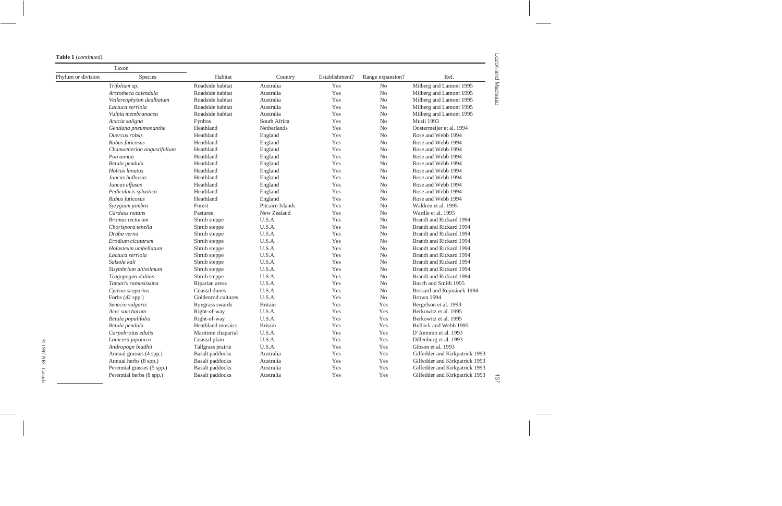|                    | Taxon                      |                        |                  |                |                  |                                |
|--------------------|----------------------------|------------------------|------------------|----------------|------------------|--------------------------------|
| Phylum or division | Species                    | Habitat                | Country          | Establishment? | Range expansion? | Ref.                           |
|                    | Trifolium sp.              | Roadside habitat       | Australia        | Yes            | No               | Milberg and Lamont 1995        |
|                    | Arctotheca calendula       | Roadside habitat       | Australia        | Yes            | N <sub>o</sub>   | Milberg and Lamont 1995        |
|                    | Vellereophyton dealbatum   | Roadside habitat       | Australia        | Yes            | No               | Milberg and Lamont 1995        |
|                    | Lactuca serriola           | Roadside habitat       | Australia        | Yes            | No               | Milberg and Lamont 1995        |
|                    | Vulpia membranacea         | Roadside habitat       | Australia        | Yes            | N <sub>o</sub>   | Milberg and Lamont 1995        |
|                    | Acacia saligna             | <b>Fynbos</b>          | South Africa     | Yes            | No               | <b>Musil 1993</b>              |
|                    | Gentiana pneumonanthe      | Heathland              | Netherlands      | Yes            | N <sub>o</sub>   | Oostermeijer et al. 1994       |
|                    | Ouercus robus              | Heathland              | England          | Yes            | No               | Rose and Webb 1994             |
|                    | Rubus futicosus            | Heathland              | England          | Yes            | No               | Rose and Webb 1994             |
|                    | Chamaenerion angustifolium | Heathland              | England          | Yes            | N <sub>o</sub>   | Rose and Webb 1994             |
|                    | Poa annua                  | Heathland              | England          | Yes            | N <sub>o</sub>   | Rose and Webb 1994             |
|                    | Betula pendula             | Heathland              | England          | Yes            | No               | Rose and Webb 1994             |
|                    | Holcus lanatus             | Heathland              | England          | Yes            | No               | Rose and Webb 1994             |
|                    | Juncus bulbosus            | Heathland              | England          | Yes            | No               | Rose and Webb 1994             |
|                    | Juncus effusus             | Heathland              | England          | Yes            | N <sub>o</sub>   | Rose and Webb 1994             |
|                    | Pedicularis sylvatica      | Heathland              | England          | Yes            | No               | Rose and Webb 1994             |
|                    | Rubus futicosus            | Heathland              | England          | Yes            | No               | Rose and Webb 1994             |
|                    | Syzygium jambos            | Forest                 | Pitcairn Islands | Yes            | No               | Waldren et al. 1995            |
|                    | Carduus nutans             | Pastures               | New Zealand      | Yes            | N <sub>o</sub>   | Wardle et al. 1995             |
|                    | <b>Bromus</b> tectorum     | Shrub steppe           | U.S.A.           | Yes            | No               | Brandt and Rickard 1994        |
|                    | Chorispora tenella         | Shrub steppe           | U.S.A.           | Yes            | N <sub>o</sub>   | Brandt and Rickard 1994        |
|                    | Draba verna                | Shrub steppe           | U.S.A.           | Yes            | N <sub>o</sub>   | Brandt and Rickard 1994        |
|                    | Erodium cicutarum          | Shrub steppe           | U.S.A.           | Yes            | No               | Brandt and Rickard 1994        |
|                    | Holosteum umbellatum       | Shrub steppe           | U.S.A.           | Yes            | No               | Brandt and Rickard 1994        |
|                    | Lactuca serriola           | Shrub steppe           | U.S.A.           | Yes            | No               | Brandt and Rickard 1994        |
|                    | Salsola kali               | Shrub steppe           | U.S.A.           | Yes            | N <sub>o</sub>   | Brandt and Rickard 1994        |
|                    | Sisymbrium altissimum      | Shrub steppe           | U.S.A.           | Yes            | N <sub>o</sub>   | Brandt and Rickard 1994        |
|                    | Tragopogon dubius          | Shrub steppe           | U.S.A.           | Yes            | No               | Brandt and Rickard 1994        |
|                    | Tamarix ramosissima        | Riparian areas         | U.S.A.           | Yes            | N <sub>o</sub>   | Busch and Smith 1995           |
|                    | Cytisus scoparius          | Coastal dunes          | U.S.A.           | Yes            | N <sub>o</sub>   | Bossard and Rejmánek 1994      |
|                    | Forbs (42 spp.)            | Goldenrod cultures     | U.S.A.           | Yes            | No               | Brown 1994                     |
|                    | Senecio vulgaris           | Ryegrass swards        | <b>Britain</b>   | Yes            | Yes              | Bergelson et al. 1993          |
|                    | Acer saccharum             | Right-of-way           | U.S.A.           | Yes            | Yes              | Berkowitz et al. 1995          |
|                    | Betula populifolia         | Right-of-way           | U.S.A.           | Yes            | Yes              | Berkowitz et al. 1995          |
|                    | Betula pendula             | Heathland mosaics      | <b>Britain</b>   | Yes            | Yes              | Bullock and Webb 1995          |
|                    | Carpobrotus edulis         | Maritime chaparral     | U.S.A.           | Yes            | Yes              | D'Antonio et al. 1993          |
|                    | Lonicera japonica          | Coastal plain          | U.S.A.           | Yes            | Yes              | Dillenburg et al. 1993         |
|                    | Andropogn bladhii          | Tallgrass prairie      | U.S.A.           | Yes            | Yes              | Gibson et al. 1993             |
|                    | Annual grasses (4 spp.)    | <b>Basalt</b> paddocks | Australia        | Yes            | Yes              | Gilfedder and Kirkpatrick 1993 |
|                    | Annual herbs (8 spp.)      | <b>Basalt</b> paddocks | Australia        | Yes            | Yes              | Gilfedder and Kirkpatrick 1993 |
|                    | Perennial grasses (5 spp.) | <b>Basalt</b> paddocks | Australia        | Yes            | Yes              | Gilfedder and Kirkpatrick 1993 |
|                    | Perennial herbs (8 spp.)   | <b>Basalt</b> paddocks | Australia        | Yes            | Yes              | Gilfedder and Kirkpatrick 1993 |
|                    |                            |                        |                  |                |                  |                                |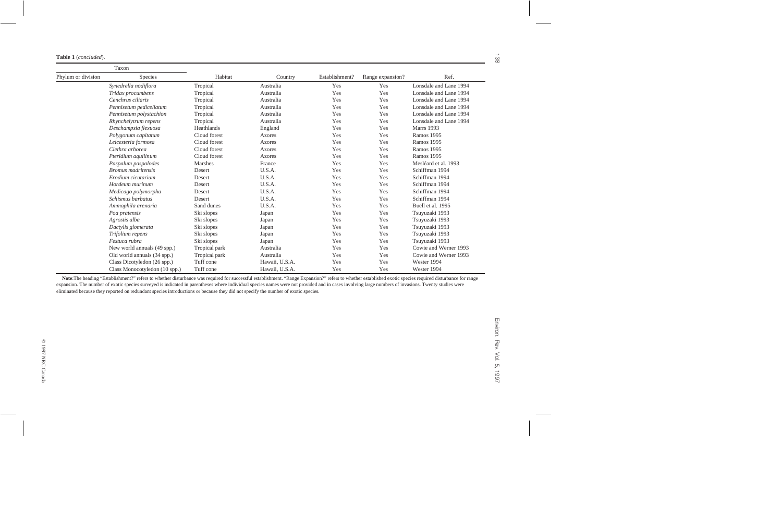|                    | Taxon                         |               |                |                |                  |                        |
|--------------------|-------------------------------|---------------|----------------|----------------|------------------|------------------------|
| Phylum or division | Species                       | Habitat       | Country        | Establishment? | Range expansion? | Ref.                   |
|                    | Synedrella nodiflora          | Tropical      | Australia      | Yes            | Yes              | Lonsdale and Lane 1994 |
|                    | Tridax procumbens             | Tropical      | Australia      | Yes            | Yes              | Lonsdale and Lane 1994 |
|                    | Cenchrus ciliaris             | Tropical      | Australia      | Yes            | Yes              | Lonsdale and Lane 1994 |
|                    | Pennisetum pedicellatum       | Tropical      | Australia      | Yes            | Yes              | Lonsdale and Lane 1994 |
|                    | Pennisetum polystachion       | Tropical      | Australia      | Yes            | Yes              | Lonsdale and Lane 1994 |
|                    | Rhynchelytrum repens          | Tropical      | Australia      | Yes            | Yes              | Lonsdale and Lane 1994 |
|                    | Deschampsia flexuosa          | Heathlands    | England        | Yes            | Yes              | <b>Marrs</b> 1993      |
|                    | Polygonum capitatum           | Cloud forest  | Azores         | Yes            | Yes              | <b>Ramos 1995</b>      |
|                    | Leicesteria formosa           | Cloud forest  | Azores         | Yes            | Yes              | <b>Ramos</b> 1995      |
|                    | Clethra arborea               | Cloud forest  | Azores         | Yes            | Yes              | <b>Ramos</b> 1995      |
|                    | Pteridium aquilinum           | Cloud forest  | <b>Azores</b>  | Yes            | Yes              | <b>Ramos</b> 1995      |
|                    | Paspalum paspalodes           | Marshes       | France         | Yes            | Yes              | Mesléard et al. 1993   |
|                    | <b>Bromus</b> madritensis     | Desert        | U.S.A.         | Yes            | Yes              | Schiffman 1994         |
|                    | Erodium cicutarium            | Desert        | U.S.A.         | Yes            | Yes              | Schiffman 1994         |
|                    | Hordeum murinum               | Desert        | U.S.A.         | Yes            | Yes              | Schiffman 1994         |
|                    | Medicago polymorpha           | Desert        | U.S.A.         | Yes            | Yes              | Schiffman 1994         |
|                    | Schismus barbatus             | Desert        | U.S.A.         | Yes            | Yes              | Schiffman 1994         |
|                    | Ammophila arenaria            | Sand dunes    | U.S.A.         | Yes            | Yes              | Buell et al. 1995      |
|                    | Poa pratensis                 | Ski slopes    | Japan          | Yes            | Yes              | Tsuyuzaki 1993         |
|                    | Agrostis alba                 | Ski slopes    | Japan          | Yes            | Yes              | Tsuyuzaki 1993         |
|                    | Dactylis glomerata            | Ski slopes    | Japan          | Yes            | Yes              | Tsuyuzaki 1993         |
|                    | Trifolium repens              | Ski slopes    | Japan          | Yes            | Yes              | Tsuyuzaki 1993         |
|                    | Festuca rubra                 | Ski slopes    | Japan          | Yes            | Yes              | Tsuyuzaki 1993         |
|                    | New world annuals (49 spp.)   | Tropical park | Australia      | Yes            | Yes              | Cowie and Werner 1993  |
|                    | Old world annuals (34 spp.)   | Tropical park | Australia      | Yes            | Yes              | Cowie and Werner 1993  |
|                    | Class Dicotyledon (26 spp.)   | Tuff cone     | Hawaii, U.S.A. | Yes            | Yes              | Wester 1994            |
|                    | Class Monocotyledon (10 spp.) | Tuff cone     | Hawaii, U.S.A. | Yes            | Yes              | Wester 1994            |

Note:The heading "Establishment?" refers to whether disturbance was required for successful establishment. "Range Expansion?" refers to whether established exotic species required disturbance for range expansion. The number of exotic species surveyed is indicated in parentheses where individual species names were not provided and in cases involving large numbers of invasions. Twenty studies were eliminated because they reported on redundant species introductions or because they did not specify the number of exotic species.

**Table 1** (*concluded*).

 $\frac{138}{2}$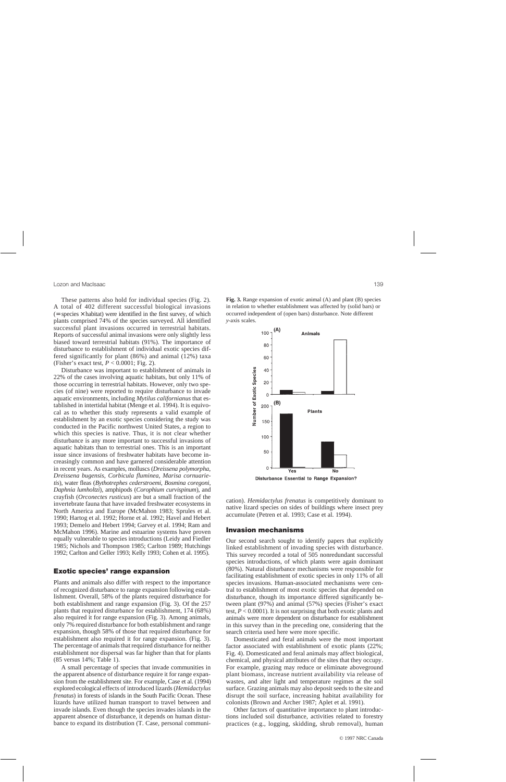These patterns also hold for individual species (Fig. 2). A total of 402 different successful biological invasions  $($  = species  $\times$  habitat) were identified in the first survey, of which plants comprised 74% of the species surveyed. All identified successful plant invasions occurred in terrestrial habitats. Reports of successful animal invasions were only slightly less biased toward terrestrial habitats (91%). The importance of disturbance to establishment of individual exotic species differed significantly for plant (86%) and animal (12%) taxa (Fisher's exact test, *P* < 0.0001; Fig. 2).

Disturbance was important to establishment of animals in 22% of the cases involving aquatic habitats, but only 11% of those occurring in terrestrial habitats. However, only two species (of nine) were reported to require disturbance to invade aquatic environments, including *Mytilus californianus* that established in intertidal habitat (Menge et al. 1994). It is equivocal as to whether this study represents a valid example of establishment by an exotic species considering the study was conducted in the Pacific northwest United States, a region to which this species is native. Thus, it is not clear whether disturbance is any more important to successful invasions of aquatic habitats than to terrestrial ones. This is an important issue since invasions of freshwater habitats have become increasingly common and have garnered considerable attention in recent years. As examples, molluscs (*Dreissena polymorpha*, *Dreissena bugensis*, *Corbicula fluminea*, *Marisa cornuarietis*), water fleas (*Bythotrephes cederstroemi*, *Bosmina coregoni*, *Daphnia lumholtzi*), amphipods (*Corophium curvispinum*), and crayfish (*Orconectes rusticus*) are but a small fraction of the invertebrate fauna that have invaded freshwater ecosystems in North America and Europe (McMahon 1983; Sprules et al. 1990; Hartog et al. 1992; Horne et al. 1992; Havel and Hebert 1993; Demelo and Hebert 1994; Garvey et al. 1994; Ram and McMahon 1996). Marine and estuarine systems have proven equally vulnerable to species introductions (Leidy and Fiedler 1985; Nichols and Thompson 1985; Carlton 1989; Hutchings 1992; Carlton and Geller 1993; Kelly 1993; Cohen et al. 1995).

#### **Exotic species' range expansion**

Plants and animals also differ with respect to the importance of recognized disturbance to range expansion following establishment. Overall, 58% of the plants required disturbance for both establishment and range expansion (Fig. 3). Of the 257 plants that required disturbance for establishment, 174 (68%) also required it for range expansion (Fig. 3). Among animals, only 7% required disturbance for both establishment and range expansion, though 58% of those that required disturbance for establishment also required it for range expansion. (Fig. 3). The percentage of animals that required disturbance for neither establishment nor dispersal was far higher than that for plants (85 versus 14%; Table 1).

A small percentage of species that invade communities in the apparent absence of disturbance require it for range expansion from the establishment site. For example, Case et al. (1994) explored ecological effects of introduced lizards (*Hemidactylus frenatus*) in forests of islands in the South Pacific Ocean. These lizards have utilized human transport to travel between and invade islands. Even though the species invades islands in the apparent absence of disturbance, it depends on human disturbance to expand its distribution (T. Case, personal communi-

**Fig. 3.** Range expansion of exotic animal (A) and plant (B) species in relation to whether establishment was affected by (solid bars) or occurred independent of (open bars) disturbance. Note different *y*-axis scales.



cation). *Hemidactylus frenatus* is competitively dominant to native lizard species on sides of buildings where insect prey accumulate (Petren et al. 1993; Case et al. 1994).

## **Invasion mechanisms**

Our second search sought to identify papers that explicitly linked establishment of invading species with disturbance. This survey recorded a total of 505 nonredundant successful species introductions, of which plants were again dominant (80%). Natural disturbance mechanisms were responsible for facilitating establishment of exotic species in only 11% of all species invasions. Human-associated mechanisms were central to establishment of most exotic species that depended on disturbance, though its importance differed significantly between plant (97%) and animal (57%) species (Fisher's exact test,  $P < 0.0001$ ). It is not surprising that both exotic plants and animals were more dependent on disturbance for establishment in this survey than in the preceding one, considering that the search criteria used here were more specific.

Domesticated and feral animals were the most important factor associated with establishment of exotic plants (22%; Fig. 4). Domesticated and feral animals may affect biological, chemical, and physical attributes of the sites that they occupy. For example, grazing may reduce or eliminate aboveground plant biomass, increase nutrient availability via release of wastes, and alter light and temperature regimes at the soil surface. Grazing animals may also deposit seeds to the site and disrupt the soil surface, increasing habitat availability for colonists (Brown and Archer 1987; Aplet et al. 1991).

Other factors of quantitative importance to plant introductions included soil disturbance, activities related to forestry practices (e.g., logging, skidding, shrub removal), human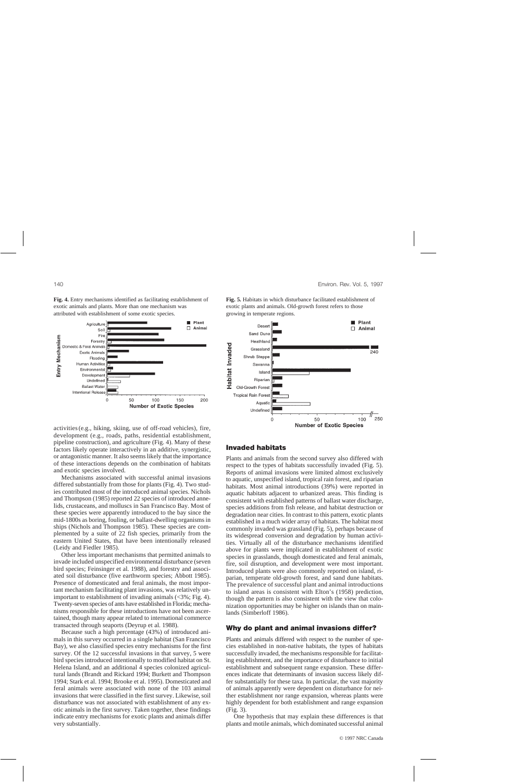**Fig. 4.** Entry mechanisms identified as facilitating establishment of exotic animals and plants. More than one mechanism was attributed with establishment of some exotic species.



activities (e.g., hiking, skiing, use of off-road vehicles), fire, development (e.g., roads, paths, residential establishment, pipeline construction), and agriculture (Fig. 4). Many of these factors likely operate interactively in an additive, synergistic, or antagonistic manner. It also seems likely that the importance of these interactions depends on the combination of habitats and exotic species involved.

Mechanisms associated with successful animal invasions differed substantially from those for plants (Fig. 4). Two studies contributed most of the introduced animal species. Nichols and Thompson (1985) reported 22 species of introduced annelids, crustaceans, and molluscs in San Francisco Bay. Most of these species were apparently introduced to the bay since the mid-1800s as boring, fouling, or ballast-dwelling organisms in ships (Nichols and Thompson 1985). These species are complemented by a suite of 22 fish species, primarily from the eastern United States, that have been intentionally released (Leidy and Fiedler 1985).

Other less important mechanisms that permitted animals to invade included unspecified environmental disturbance (seven bird species; Feinsinger et al. 1988), and forestry and associated soil disturbance (five earthworm species; Abbott 1985). Presence of domesticated and feral animals, the most important mechanism facilitating plant invasions, was relatively unimportant to establishment of invading animals (<3%; Fig. 4). Twenty-seven species of ants have established in Florida; mechanisms responsible for these introductions have not been ascertained, though many appear related to international commerce transacted through seaports (Deyrup et al. 1988).

Because such a high percentage (43%) of introduced animals in this survey occurred in a single habitat (San Francisco Bay), we also classified species entry mechanisms for the first survey. Of the 12 successful invasions in that survey, 5 were bird species introduced intentionally to modified habitat on St. Helena Island, and an additional 4 species colonized agricultural lands (Brandt and Rickard 1994; Burkett and Thompson 1994; Stark et al. 1994; Brooke et al. 1995). Domesticated and feral animals were associated with none of the 103 animal invasions that were classified in the first survey. Likewise, soil disturbance was not associated with establishment of any exotic animals in the first survey. Taken together, these findings indicate entry mechanisms for exotic plants and animals differ very substantially.

**Fig. 5.** Habitats in which disturbance facilitated establishment of exotic plants and animals. Old-growth forest refers to those growing in temperate regions.



## **Invaded habitats**

Plants and animals from the second survey also differed with respect to the types of habitats successfully invaded (Fig. 5). Reports of animal invasions were limited almost exclusively to aquatic, unspecified island, tropical rain forest, and riparian habitats. Most animal introductions (39%) were reported in aquatic habitats adjacent to urbanized areas. This finding is consistent with established patterns of ballast water discharge, species additions from fish release, and habitat destruction or degradation near cities. In contrast to this pattern, exotic plants established in a much wider array of habitats. The habitat most commonly invaded was grassland (Fig. 5), perhaps because of its widespread conversion and degradation by human activities. Virtually all of the disturbance mechanisms identified above for plants were implicated in establishment of exotic species in grasslands, though domesticated and feral animals, fire, soil disruption, and development were most important. Introduced plants were also commonly reported on island, riparian, temperate old-growth forest, and sand dune habitats. The prevalence of successful plant and animal introductions to island areas is consistent with Elton's (1958) prediction, though the pattern is also consistent with the view that colonization opportunities may be higher on islands than on mainlands (Simberloff 1986).

## **Why do plant and animal invasions differ?**

Plants and animals differed with respect to the number of species established in non-native habitats, the types of habitats successfully invaded, the mechanisms responsible for facilitating establishment, and the importance of disturbance to initial establishment and subsequent range expansion. These differences indicate that determinants of invasion success likely differ substantially for these taxa. In particular, the vast majority of animals apparently were dependent on disturbance for neither establishment nor range expansion, whereas plants were highly dependent for both establishment and range expansion (Fig. 3).

One hypothesis that may explain these differences is that plants and motile animals, which dominated successful animal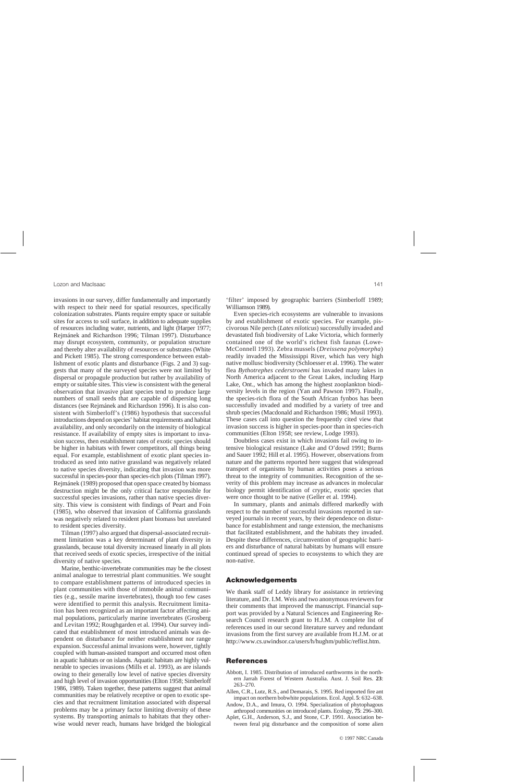invasions in our survey, differ fundamentally and importantly with respect to their need for spatial resources, specifically colonization substrates. Plants require empty space or suitable sites for access to soil surface, in addition to adequate supplies of resources including water, nutrients, and light (Harper 1977; Rejmánek and Richardson 1996; Tilman 1997). Disturbance may disrupt ecosystem, community, or population structure and thereby alter availability of resources or substrates (White and Pickett 1985). The strong correspondence between establishment of exotic plants and disturbance (Figs. 2 and 3) suggests that many of the surveyed species were not limited by dispersal or propagule production but rather by availability of empty or suitable sites. This view is consistent with the general observation that invasive plant species tend to produce large numbers of small seeds that are capable of dispersing long distances (see Rejmánek and Richardson 1996). It is also consistent with Simberloff's (1986) hypothesis that successful introductions depend on species' habitat requirements and habitat availability, and only secondarily on the intensity of biological resistance. If availability of empty sites is important to invasion success, then establishment rates of exotic species should be higher in habitats with fewer competitors, all things being equal. For example, establishment of exotic plant species introduced as seed into native grassland was negatively related to native species diversity, indicating that invasion was more successful in species-poor than species-rich plots (Tilman 1997). Rejmánek (1989) proposed that open space created by biomass destruction might be the only critical factor responsible for successful species invasions, rather than native species diversity. This view is consistent with findings of Peart and Foin (1985), who observed that invasion of California grasslands was negatively related to resident plant biomass but unrelated to resident species diversity.

Tilman (1997) also argued that dispersal-associated recruitment limitation was a key determinant of plant diversity in grasslands, because total diversity increased linearly in all plots that received seeds of exotic species, irrespective of the initial diversity of native species.

Marine, benthic-invertebrate communities may be the closest animal analogue to terrestrial plant communities. We sought to compare establishment patterns of introduced species in plant communities with those of immobile animal communities (e.g., sessile marine invertebrates), though too few cases were identified to permit this analysis. Recruitment limitation has been recognized as an important factor affecting animal populations, particularly marine invertebrates (Grosberg and Levitan 1992; Roughgarden et al. 1994). Our survey indicated that establishment of most introduced animals was dependent on disturbance for neither establishment nor range expansion. Successful animal invasions were, however, tightly coupled with human-assisted transport and occurred most often in aquatic habitats or on islands. Aquatic habitats are highly vulnerable to species invasions (Mills et al. 1993), as are islands owing to their generally low level of native species diversity and high level of invasion opportunities (Elton 1958; Simberloff 1986, 1989). Taken together, these patterns suggest that animal communities may be relatively receptive or open to exotic species and that recruitment limitation associated with dispersal problems may be a primary factor limiting diversity of these systems. By transporting animals to habitats that they otherwise would never reach, humans have bridged the biological

'filter' imposed by geographic barriers (Simberloff 1989; Williamson 1989).

Even species-rich ecosystems are vulnerable to invasions by and establishment of exotic species. For example, piscivorous Nile perch (*Lates niloticus*) successfully invaded and devastated fish biodiversity of Lake Victoria, which formerly contained one of the world's richest fish faunas (Lowe-McConnell 1993). Zebra mussels (*Dreissena polymorpha*) readily invaded the Mississippi River, which has very high native mollusc biodiversity (Schloesser et al. 1996). The water flea *Bythotrephes cederstroemi* has invaded many lakes in North America adjacent to the Great Lakes, including Harp Lake, Ont., which has among the highest zooplankton biodiversity levels in the region (Yan and Pawson 1997). Finally, the species-rich flora of the South African fynbos has been successfully invaded and modified by a variety of tree and shrub species (Macdonald and Richardson 1986; Musil 1993). These cases call into question the frequently cited view that invasion success is higher in species-poor than in species-rich communities (Elton 1958; see review, Lodge 1993).

Doubtless cases exist in which invasions fail owing to intensive biological resistance (Lake and O'dowd 1991; Burns and Sauer 1992; Hill et al. 1995). However, observations from nature and the patterns reported here suggest that widespread transport of organisms by human activities poses a serious threat to the integrity of communities. Recognition of the severity of this problem may increase as advances in molecular biology permit identification of cryptic, exotic species that were once thought to be native (Geller et al. 1994).

In summary, plants and animals differed markedly with respect to the number of successful invasions reported in surveyed journals in recent years, by their dependence on disturbance for establishment and range extension, the mechanisms that facilitated establishment, and the habitats they invaded. Despite these differences, circumvention of geographic barriers and disturbance of natural habitats by humans will ensure continued spread of species to ecosystems to which they are non-native.

## **Acknowledgements**

We thank staff of Leddy library for assistance in retrieving literature, and Dr. I.M. Weis and two anonymous reviewers for their comments that improved the manuscript. Financial support was provided by a Natural Sciences and Engineering Research Council research grant to H.J.M. A complete list of references used in our second literature survey and redundant invasions from the first survey are available from H.J.M. or at http://www.cs.uwindsor.ca/users/h/hughm/public/reflist.htm.

### **References**

- Abbott, I. 1985. Distribution of introduced earthworms in the northern Jarrah Forest of Western Australia. Aust. J. Soil Res. **23**: 263–270.
- Allen, C.R., Lutz, R.S., and Demarais, S. 1995. Red imported fire ant impact on northern bobwhite populations. Ecol. Appl. **5**: 632–638.
- Andow, D.A., and Imura, O. 1994. Specialization of phytophagous arthropod communities on introduced plants. Ecology, **75**: 296–300.
- Aplet, G.H., Anderson, S.J., and Stone, C.P. 1991. Association between feral pig disturbance and the composition of some alien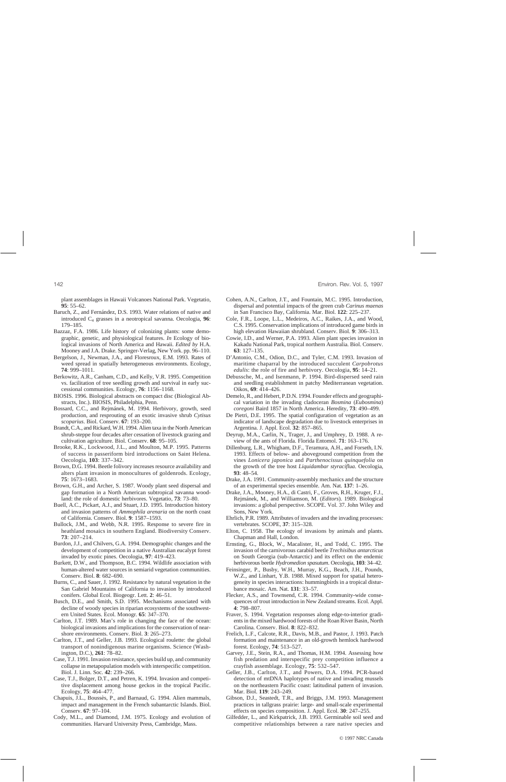plant assemblages in Hawaii Volcanoes National Park. Vegetatio, **95**: 55–62.

- Baruch, Z., and Fernández, D.S. 1993. Water relations of native and introduced C4 grasses in a neotropical savanna. Oecologia, **96**: 179–185.
- Bazzaz, F.A. 1986. Life history of colonizing plants: some demographic, genetic, and physiological features. *In* Ecology of biological invasions of North America and Hawaii. *Edited by* H.A. Mooney and J.A. Drake. Springer-Verlag, New York. pp. 96–110.
- Bergelson, J., Newman, J.A., and Floresroux, E.M. 1993. Rates of weed spread in spatially heterogeneous environments. Ecology, **74**: 999–1011.
- Berkowitz, A.R., Canham, C.D., and Kelly, V.R. 1995. Competition vs. facilitation of tree seedling growth and survival in early successional communities. Ecology, **76**: 1156–1168.
- BIOSIS. 1996. Biological abstracts on compact disc (Biological Abstracts, Inc.). BIOSIS, Philadelphia, Penn.
- Bossard, C.C., and Rejmánek, M. 1994. Herbivory, growth, seed production, and resprouting of an exotic invasive shrub *Cytisus scoparius*. Biol. Conserv. **67**: 193–200.
- Brandt, C.A., and Rickard, W.H. 1994. Alien taxa in the North American shrub-steppe four decades after cessation of livestock grazing and cultivation agriculture. Biol. Conserv. **68**: 95–105.
- Brooke, R.K., Lockwood, J.L., and Moulton, M.P. 1995. Patterns of success in passeriform bird introductions on Saint Helena. Oecologia, **103**: 337–342.
- Brown, D.G. 1994. Beetle folivory increases resource availability and alters plant invasion in monocultures of goldenrods. Ecology, **75**: 1673–1683.
- Brown, G.H., and Archer, S. 1987. Woody plant seed dispersal and gap formation in a North American subtropical savanna woodland: the role of domestic herbivores. Vegetatio, **73**: 73–80.
- Buell, A.C., Pickart, A.J., and Stuart, J.D. 1995. Introduction history and invasion patterns of *Ammophila arenaria* on the north coast of California. Conserv. Biol. **9**: 1587–1593.
- Bullock, J.M., and Webb, N.R. 1995. Response to severe fire in heathland mosaics in southern England. Biodiversity Conserv. **73**: 207–214.
- Burdon, J.J., and Chilvers, G.A. 1994. Demographic changes and the development of competition in a native Australian eucalypt forest invaded by exotic pines. Oecologia, **97**: 419–423.
- Burkett, D.W., and Thompson, B.C. 1994. Wildlife association with human-altered water sources in semiarid vegetation communities. Conserv. Biol. **8**: 682–690.
- Burns, C., and Sauer, J. 1992. Resistance by natural vegetation in the San Gabriel Mountains of California to invasion by introduced conifers. Global Ecol. Biogeogr. Lett. **2**: 46–51.
- Busch, D.E., and Smith, S.D. 1995. Mechanisms associated with decline of woody species in riparian ecosystems of the southwestern United States. Ecol. Monogr. **65**: 347–370.
- Carlton, J.T. 1989. Man's role in changing the face of the ocean: biological invasions and implications for the conservation of nearshore environments. Conserv. Biol. **3**: 265–273.
- Carlton, J.T., and Geller, J.B. 1993. Ecological roulette: the global transport of nonindigenous marine organisms. Science (Washington, D.C.), **261**: 78–82.
- Case, T.J. 1991. Invasion resistance, species build up, and community collapse in metapopulation models with interspecific competition. Biol. J. Linn. Soc. **42**: 239–266.
- Case, T.J., Bolger, D.T., and Petren, K. 1994. Invasion and competitive displacement among house geckos in the tropical Pacific. Ecology, **75**: 464–477.
- Chapuis, J.L., Boussès, P., and Barnaud, G. 1994. Alien mammals, impact and management in the French subantarctic Islands. Biol. Conserv. **67**: 97–104.
- Cody, M.L., and Diamond, J.M. 1975. Ecology and evolution of communities. Harvard University Press, Cambridge, Mass.
- Cohen, A.N., Carlton, J.T., and Fountain, M.C. 1995. Introduction, dispersal and potential impacts of the green crab *Carinus maenas* in San Francisco Bay, California. Mar. Biol. **122**: 225–237.
- Cole, F.R., Loope, L.L., Medeiros, A.C., Raikes, J.A., and Wood, C.S. 1995. Conservation implications of introduced game birds in high elevation Hawaiian shrubland. Conserv. Biol. **9**: 306–313.
- Cowie, I.D., and Werner, P.A. 1993. Alien plant species invasion in Kakadu National Park, tropical northern Australia. Biol. Conserv. **63**: 127–135.
- D'Antonio, C.M., Odion, D.C., and Tyler, C.M. 1993. Invasion of maritime chaparral by the introduced succulent *Carpobrotus edulis*: the role of fire and herbivory. Oecologia, **95**: 14–21.
- Debussche, M., and Isenmann, P. 1994. Bird-dispersed seed rain and seedling establishment in patchy Mediterranean vegetation. Oikos, **69**: 414–426.
- Demelo, R., and Hebert, P.D.N. 1994. Founder effects and geographical variation in the invading cladoceran *Bosmina* (*Eubosmina*) *coregoni* Baird 1857 in North America. Heredity, **73**: 490–499.
- De Pietri, D.E. 1995. The spatial configuration of vegetation as an indicator of landscape degradation due to livestock enterprises in Argentina. J. Appl. Ecol. **32**: 857–865.
- Deyrup, M.A., Carlin, N., Trager, J., and Umphrey, D. 1988. A review of the ants of Florida. Florida Entomol. **71**: 163–176.
- Dillenburg, L.R., Whigham, D.F., Teramura, A.H., and Forseth, I.N. 1993. Effects of below- and aboveground competition from the vines *Lonicera japonica* and *Parthenocissus quinquefolia* on the growth of the tree host *Liquidambar styraciflua*. Oecologia, **93**: 48–54.
- Drake, J.A. 1991. Community-assembly mechanics and the structure of an experimental species ensemble. Am. Nat. **137**: 1–26.
- Drake, J.A., Mooney, H.A., di Castri, F., Groves, R.H., Kruger, F.J., Rejmánek, M., and Williamson, M. (*Editors*). 1989. Biological invasions: a global perspective. SCOPE. Vol. 37. John Wiley and Sons, New York.
- Ehrlich, P.R. 1989. Attributes of invaders and the invading processes: vertebrates. SCOPE, **37**: 315–328.
- Elton, C. 1958. The ecology of invasions by animals and plants. Chapman and Hall, London.
- Ernsting, G., Block, W., Macalister, H., and Todd, C. 1995. The invasion of the carnivorous carabid beetle *Trechisibus antarcticus* on South Georgia (sub-Antarctic) and its effect on the endemic herbivorous beetle *Hydromedion spasutum*. Oecologia, **103**: 34–42.
- Feinsinger, P., Busby, W.H., Murray, K.G., Beach, J.H., Pounds, W.Z., and Linhart, Y.B. 1988. Mixed support for spatial heterogeneity in species interactions: hummingbirds in a tropical disturbance mosaic. Am. Nat. **131**: 33–57.
- Flecker, A.S., and Townsend, C.R. 1994. Community-wide consequences of trout introduction in New Zealand streams. Ecol. Appl. **4**: 798–807.
- Fraver, S. 1994. Vegetation responses along edge-to-interior gradients in the mixed hardwood forests of the Roan River Basin, North Carolina. Conserv. Biol. **8**: 822–832.
- Frelich, L.F., Calcote, R.R., Davis, M.B., and Pastor, J. 1993. Patch formation and maintenance in an old-growth hemlock hardwood forest. Ecology, **74**: 513–527.
- Garvey, J.E., Stein, R.A., and Thomas, H.M. 1994. Assessing how fish predation and interspecific prey competition influence a crayfish assemblage. Ecology, **75**: 532–547.
- Geller, J.B., Carlton, J.T., and Powers, D.A. 1994. PCR-based detection of mtDNA haplotypes of native and invading mussels on the northeastern Pacific coast: latitudinal pattern of invasion. Mar. Biol. **119**: 243–249.
- Gibson, D.J., Seastedt, T.R., and Briggs, J.M. 1993. Management practices in tallgrass prairie: large- and small-scale experimental effects on species composition. J. Appl. Ecol. **30**: 247–255.
- Gilfedder, L., and Kirkpatrick, J.B. 1993. Germinable soil seed and competitive relationships between a rare native species and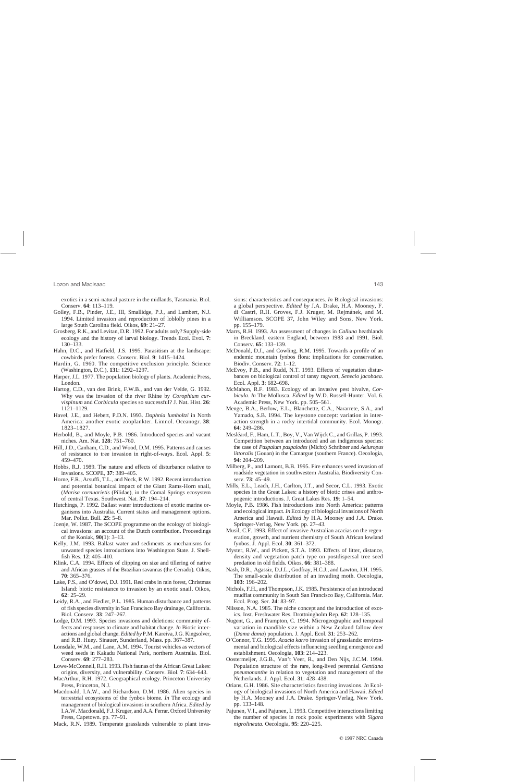exotics in a semi-natural pasture in the midlands, Tasmania. Biol. Conserv. **64**: 113–119.

- Golley, F.B., Pinder, J.E., III, Smallidge, P.J., and Lambert, N.J. 1994. Limited invasion and reproduction of loblolly pines in a large South Carolina field. Oikos, **69**: 21–27.
- Grosberg, R.K., and Levitan, D.R. 1992. For adults only? Supply-side ecology and the history of larval biology. Trends Ecol. Evol. **7**: 130–133.
- Hahn, D.C., and Hatfield, J.S. 1995. Parasitism at the landscape: cowbirds prefer forests. Conserv. Biol. **9**: 1415–1424.
- Hardin, G. 1960. The competitive exclusion principle. Science (Washington, D.C.), **131**: 1292–1297.
- Harper, J.L. 1977. The population biology of plants. Academic Press, London.
- Hartog, C.D., van den Brink, F.W.B., and van der Velde, G. 1992. Why was the invasion of the river Rhine by *Corophium curvispinum* and *Corbicula* species so successful? J. Nat. Hist. **26**: 1121–1129.
- Havel, J.E., and Hebert, P.D.N. 1993. *Daphnia lumholtzi* in North America: another exotic zooplankter. Limnol. Oceanogr. **38**: 1823–1827.
- Herbold, B., and Moyle, P.B. 1986. Introduced species and vacant niches. Am. Nat. **128**: 751–760.
- Hill, J.D., Canham, C.D., and Wood, D.M. 1995. Patterns and causes of resistance to tree invasion in right-of-ways. Ecol. Appl. **5**: 459–470.
- Hobbs, R.J. 1989. The nature and effects of disturbance relative to invasions. SCOPE, **37**: 389–405.
- Horne, F.R., Arsuffi, T.L., and Neck, R.W. 1992. Recent introduction and potential botanical impact of the Giant Rams-Horn snail, (*Marisa cornuarietis* (Pilidae), in the Comal Springs ecosystem of central Texas. Southwest. Nat. **37**: 194–214.
- Hutchings, P. 1992. Ballast water introductions of exotic marine organisms into Australia. Current status and management options. Mar. Pollut. Bull. **25**: 5–8.
- Joenje, W. 1987. The SCOPE programme on the ecology of biological invasions: an account of the Dutch contribution. Proceedings of the Koniak, **90**(1): 3–13.
- Kelly, J.M. 1993. Ballast water and sediments as mechanisms for unwanted species introductions into Washington State. J. Shellfish Res. **12**: 405–410.
- Klink, C.A. 1994. Effects of clipping on size and tillering of native and African grasses of the Brazilian savannas (the Cerrado). Oikos, **70**: 365–376.
- Lake, P.S., and O'dowd, D.J. 1991. Red crabs in rain forest, Christmas Island: biotic resistance to invasion by an exotic snail. Oikos, **62**: 25–29.
- Leidy, R.A., and Fiedler, P.L. 1985. Human disturbance and patterns of fish species diversity in San Francisco Bay drainage, California. Biol. Conserv. **33**: 247–267.
- Lodge, D.M. 1993. Species invasions and deletions: community effects and responses to climate and habitat change. *In* Biotic interactions and global change. *Edited by* P.M. Kareiva, J.G. Kingsolver, and R.B. Huey. Sinauer, Sunderland, Mass. pp. 367–387.
- Lonsdale, W.M., and Lane, A.M. 1994. Tourist vehicles as vectors of weed seeds in Kakadu National Park, northern Australia. Biol. Conserv. **69**: 277–283.
- Lowe-McConnell, R.H. 1993. Fish faunas of the African Great Lakes: origins, diversity, and vulnerability. Conserv. Biol. **7**: 634–643.
- MacArthur, R.H. 1972. Geographical ecology. Princeton University Press, Princeton, N.J.
- Macdonald, I.A.W., and Richardson, D.M. 1986. Alien species in terrestrial ecosystems of the fynbos biome. *In* The ecology and management of biological invasions in southern Africa. *Edited by* I.A.W. Macdonald, F.J. Kruger, and A.A. Ferrar. Oxford University Press, Capetown. pp. 77–91.

Mack, R.N. 1989. Temperate grasslands vulnerable to plant inva-

sions: characteristics and consequences. *In* Biological invasions: a global perspective. *Edited by* J.A. Drake, H.A. Mooney, F. di Castri, R.H. Groves, F.J. Kruger, M. Rejmánek, and M. Williamson. SCOPE 37, John Wiley and Sons, New York. pp. 155–179.

- Marrs, R.H. 1993. An assessment of changes in *Calluna* heathlands in Breckland, eastern England, between 1983 and 1991. Biol. Conserv. **65**: 133–139.
- McDonald, D.J., and Cowling, R.M. 1995. Towards a profile of an endemic mountain fynbos flora: implications for conservation. Biodiv. Conserv. **72**: 1–12.
- McEvoy, P.B., and Rudd, N.T. 1993. Effects of vegetation disturbances on biological control of tansy ragwort, *Senecio jacobaea*. Ecol. Appl. **3**: 682–698.
- McMahon, R.F. 1983. Ecology of an invasive pest bivalve, *Corbicula*. *In* The Mollusca. *Edited by* W.D. Russell-Hunter. Vol. 6. Academic Press, New York. pp. 505–561.
- Menge, B.A., Berlow, E.L., Blanchette, C.A., Nararrete, S.A., and Yamado, S.B. 1994. The keystone concept: variation in interaction strength in a rocky intertidal community. Ecol. Monogr. **64**: 249–286.
- Mesléard, F., Ham, L.T., Boy, V., Van Wijck C., and Grillas, P. 1993. Competition between an introduced and an indigenous species: the case of *Paspalum paspalodes* (Michx) Schribner and *Aeluropus littoralis* (Gouan) in the Camargue (southern France). Oecologia, **94**: 204–209.
- Milberg, P., and Lamont, B.B. 1995. Fire enhances weed invasion of roadside vegetation in southwestern Australia. Biodiversity Conserv. **73**: 45–49.
- Mills, E.L., Leach, J.H., Carlton, J.T., and Secor, C.L. 1993. Exotic species in the Great Lakes: a history of biotic crises and anthropogenic introductions. J. Great Lakes Res. **19**: 1–54.
- Moyle, P.B. 1986. Fish introductions into North America: patterns and ecological impact. *In* Ecology of biological invasions of North America and Hawaii. *Edited by* H.A. Mooney and J.A. Drake. Springer-Verlag, New York. pp. 27–43.
- Musil, C.F. 1993. Effect of invasive Australian acacias on the regeneration, growth, and nutrient chemistry of South African lowland fynbos. J. Appl. Ecol. **30**: 361–372.
- Myster, R.W., and Pickett, S.T.A. 1993. Effects of litter, distance, density and vegetation patch type on postdispersal tree seed predation in old fields. Oikos, **66**: 381–388.
- Nash, D.R., Agassiz, D.J.L., Godfray, H.C.J., and Lawton, J.H. 1995. The small-scale distribution of an invading moth. Oecologia, **103**: 196–202.
- Nichols, F.H., and Thompson, J.K. 1985. Persistence of an introduced mudflat community in South San Francisco Bay, California. Mar. Ecol. Prog. Ser. **24**: 83–97.
- Nilsson, N.A. 1985. The niche concept and the introduction of exotics. Inst. Freshwater Res. Drottningholm Rep. **62**: 128–135.
- Nugent, G., and Frampton, C. 1994. Microgeographic and temporal variation in mandible size within a New Zealand fallow deer (*Dama dama*) population. J. Appl. Ecol. **31**: 253–262.
- O'Connor, T.G. 1995. *Acacia karro* invasion of grasslands: environmental and biological effects influencing seedling emergence and establishment. Oecologia, **103**: 214–223.
- Oostermeijer, J.G.B., Van't Veer, R., and Den Nijs, J.C.M. 1994. Population structure of the rare, long-lived perennial *Gentiana pneumonanthe* in relation to vegetation and management of the Netherlands. J. Appl. Ecol. **31**: 428–438.
- Orians, G.H. 1986. Site characteristics favoring invasions. *In* Ecology of biological invasions of North America and Hawaii. *Edited by* H.A. Mooney and J.A. Drake. Springer-Verlag, New York. pp. 133–148.
- Pajunen, V.I., and Pajunen, I. 1993. Competitive interactions limiting the number of species in rock pools: experiments with *Sigara nigrolineata*. Oecologia, **95**: 220–225.